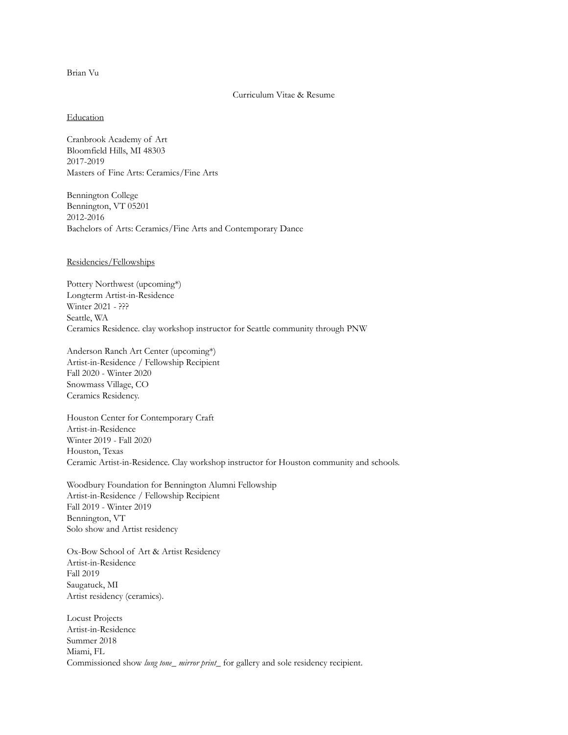# Brian Vu

#### Curriculum Vitae & Resume

#### **Education**

Cranbrook Academy of Art Bloomfield Hills, MI 48303 2017-2019 Masters of Fine Arts: Ceramics/Fine Arts

Bennington College Bennington, VT 05201 2012-2016 Bachelors of Arts: Ceramics/Fine Arts and Contemporary Dance

#### Residencies/Fellowships

Pottery Northwest (upcoming\*) Longterm Artist-in-Residence Winter 2021 - ??? Seattle, WA Ceramics Residence. clay workshop instructor for Seattle community through PNW

Anderson Ranch Art Center (upcoming\*) Artist-in-Residence / Fellowship Recipient Fall 2020 - Winter 2020 Snowmass Village, CO Ceramics Residency.

Houston Center for Contemporary Craft Artist-in-Residence Winter 2019 - Fall 2020 Houston, Texas Ceramic Artist-in-Residence. Clay workshop instructor for Houston community and schools.

Woodbury Foundation for Bennington Alumni Fellowship Artist-in-Residence / Fellowship Recipient Fall 2019 - Winter 2019 Bennington, VT Solo show and Artist residency

Ox-Bow School of Art & Artist Residency Artist-in-Residence Fall 2019 Saugatuck, MI Artist residency (ceramics).

Locust Projects Artist-in-Residence Summer 2018 Miami, FL Commissioned show *lung tone\_ mirror print\_* for gallery and sole residency recipient.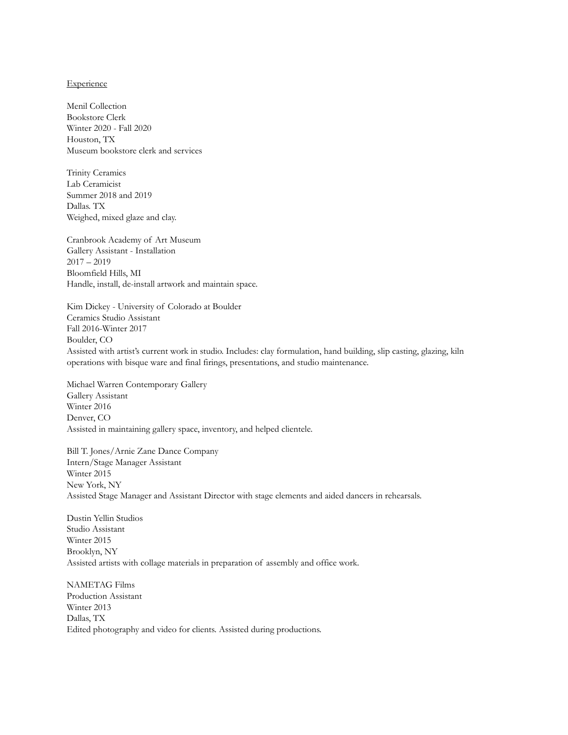#### **Experience**

Menil Collection Bookstore Clerk Winter 2020 - Fall 2020 Houston, TX Museum bookstore clerk and services

Trinity Ceramics Lab Ceramicist Summer 2018 and 2019 Dallas. TX Weighed, mixed glaze and clay.

Cranbrook Academy of Art Museum Gallery Assistant - Installation  $2017 - 2019$ Bloomfield Hills, MI Handle, install, de-install artwork and maintain space.

Kim Dickey - University of Colorado at Boulder Ceramics Studio Assistant Fall 2016-Winter 2017 Boulder, CO Assisted with artist's current work in studio. Includes: clay formulation, hand building, slip casting, glazing, kiln operations with bisque ware and final firings, presentations, and studio maintenance.

Michael Warren Contemporary Gallery Gallery Assistant Winter 2016 Denver, CO Assisted in maintaining gallery space, inventory, and helped clientele.

Bill T. Jones/Arnie Zane Dance Company Intern/Stage Manager Assistant Winter 2015 New York, NY Assisted Stage Manager and Assistant Director with stage elements and aided dancers in rehearsals.

Dustin Yellin Studios Studio Assistant Winter 2015 Brooklyn, NY Assisted artists with collage materials in preparation of assembly and office work.

NAMETAG Films Production Assistant Winter 2013 Dallas, TX Edited photography and video for clients. Assisted during productions.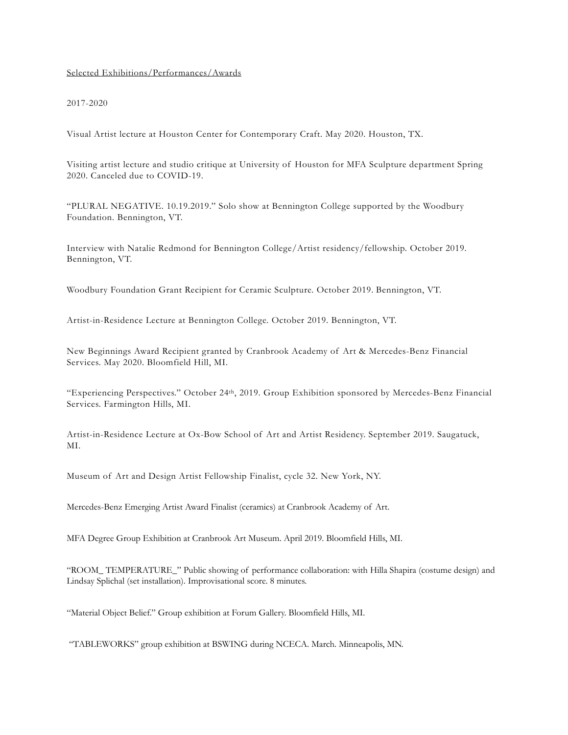## Selected Exhibitions/Performances/Awards

### 2017-2020

Visual Artist lecture at Houston Center for Contemporary Craft. May 2020. Houston, TX.

Visiting artist lecture and studio critique at University of Houston for MFA Sculpture department Spring 2020. Canceled due to COVID-19.

"PLURAL NEGATIVE. 10.19.2019." Solo show at Bennington College supported by the Woodbury Foundation. Bennington, VT.

Interview with Natalie Redmond for Bennington College/Artist residency/fellowship. October 2019. Bennington, VT.

Woodbury Foundation Grant Recipient for Ceramic Sculpture. October 2019. Bennington, VT.

Artist-in-Residence Lecture at Bennington College. October 2019. Bennington, VT.

New Beginnings Award Recipient granted by Cranbrook Academy of Art & Mercedes-Benz Financial Services. May 2020. Bloomfield Hill, MI.

"Experiencing Perspectives." October 24th, 2019. Group Exhibition sponsored by Mercedes-Benz Financial Services. Farmington Hills, MI.

Artist-in-Residence Lecture at Ox-Bow School of Art and Artist Residency. September 2019. Saugatuck, MI.

Museum of Art and Design Artist Fellowship Finalist, cycle 32. New York, NY.

Mercedes-Benz Emerging Artist Award Finalist (ceramics) at Cranbrook Academy of Art.

MFA Degree Group Exhibition at Cranbrook Art Museum. April 2019. Bloomfield Hills, MI.

"ROOM\_ TEMPERATURE\_" Public showing of performance collaboration: with Hilla Shapira (costume design) and Lindsay Splichal (set installation). Improvisational score. 8 minutes.

"Material Object Belief." Group exhibition at Forum Gallery. Bloomfield Hills, MI.

"TABLEWORKS" group exhibition at BSWING during NCECA. March. Minneapolis, MN.